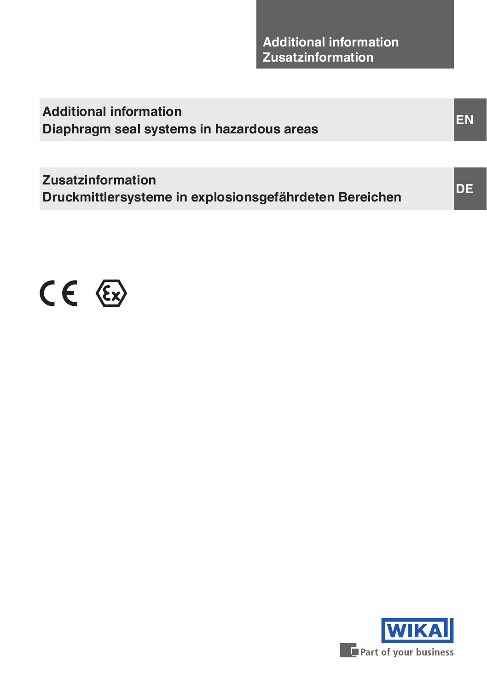| <b>Additional information</b><br>Diaphragm seal systems in hazardous areas         | <b>IEN</b> |
|------------------------------------------------------------------------------------|------------|
|                                                                                    |            |
| <b>Zusatzinformation</b><br>Druckmittlersysteme in explosionsgefährdeten Bereichen | DE         |
|                                                                                    |            |



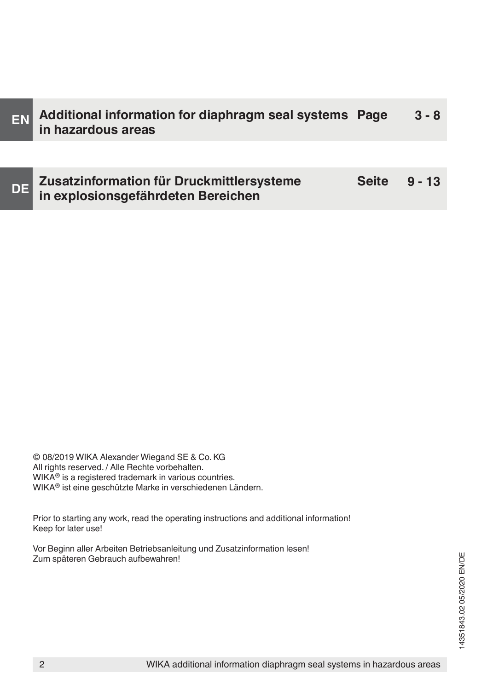| <b>EN</b>  | Additional information for diaphragm seal systems Page<br>in hazardous areas    |              | $3 - 8$  |
|------------|---------------------------------------------------------------------------------|--------------|----------|
|            |                                                                                 |              |          |
| <b>DEI</b> | Zusatzinformation für Druckmittlersysteme<br>in explosionsgefährdeten Bereichen | <b>Seite</b> | $9 - 13$ |

© 08/2019 WIKA Alexander Wiegand SE & Co. KG All rights reserved. / Alle Rechte vorbehalten. WIKA<sup>®</sup> is a registered trademark in various countries. WIKA® ist eine geschützte Marke in verschiedenen Ländern.

Prior to starting any work, read the operating instructions and additional information! Keep for later use!

Vor Beginn aller Arbeiten Betriebsanleitung und Zusatzinformation lesen! Zum späteren Gebrauch aufbewahren!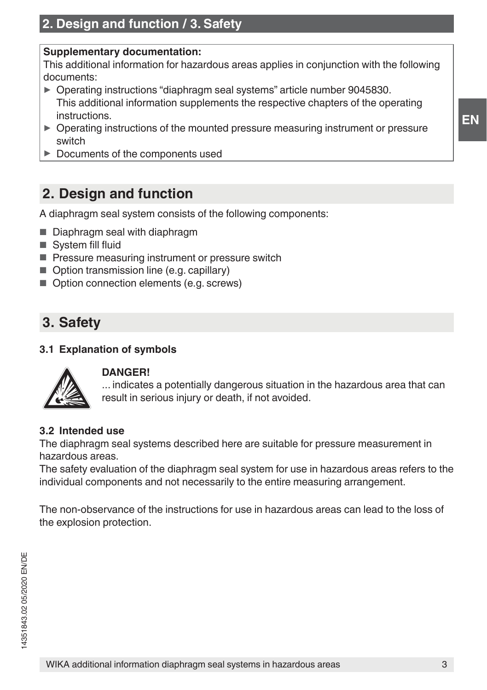# **2. Design and function / 3. Safety**

# **Supplementary documentation:**

This additional information for hazardous areas applies in conjunction with the following documents:

- ▶ Operating instructions "diaphragm seal systems" article number 9045830. This additional information supplements the respective chapters of the operating **instructions**
- ▶ Operating instructions of the mounted pressure measuring instrument or pressure switch
- ▶ Documents of the components used

# **2. Design and function**

A diaphragm seal system consists of the following components:

- Diaphragm seal with diaphragm
- System fill fluid
- Pressure measuring instrument or pressure switch
- Option transmission line (e.g. capillary)
- Option connection elements (e.g. screws)

# **3. Safety**

## **3.1 Explanation of symbols**



#### **DANGER!**

... indicates a potentially dangerous situation in the hazardous area that can result in serious injury or death, if not avoided.

### **3.2 Intended use**

The diaphragm seal systems described here are suitable for pressure measurement in hazardous areas.

The safety evaluation of the diaphragm seal system for use in hazardous areas refers to the individual components and not necessarily to the entire measuring arrangement.

The non-observance of the instructions for use in hazardous areas can lead to the loss of the explosion protection.

WIKA additional information diaphragm seal systems in hazardous areas 33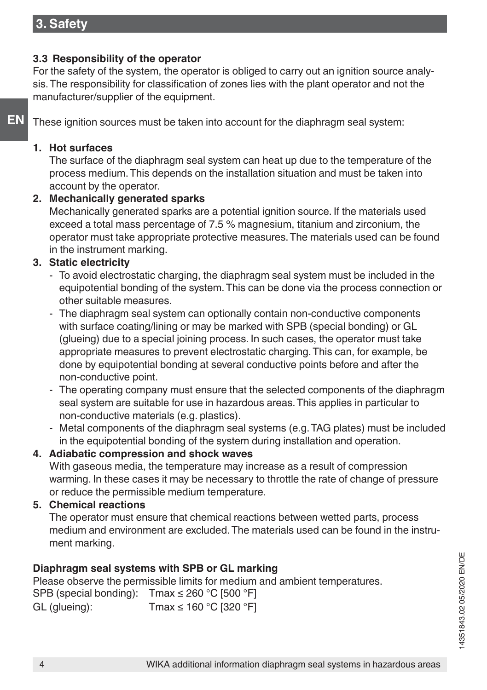# **3. Safety**

# **3.3 Responsibility of the operator**

For the safety of the system, the operator is obliged to carry out an ignition source analysis. The responsibility for classification of zones lies with the plant operator and not the manufacturer/supplier of the equipment.

# **1. Hot surfaces**

The surface of the diaphragm seal system can heat up due to the temperature of the process medium. This depends on the installation situation and must be taken into account by the operator.

# **2. Mechanically generated sparks**

Mechanically generated sparks are a potential ignition source. If the materials used exceed a total mass percentage of 7.5 % magnesium, titanium and zirconium, the operator must take appropriate protective measures. The materials used can be found in the instrument marking.

# **3. Static electricity**

- To avoid electrostatic charging, the diaphragm seal system must be included in the equipotential bonding of the system. This can be done via the process connection or other suitable measures.
- The diaphragm seal system can optionally contain non-conductive components with surface coating/lining or may be marked with SPB (special bonding) or GL (glueing) due to a special joining process. In such cases, the operator must take appropriate measures to prevent electrostatic charging. This can, for example, be done by equipotential bonding at several conductive points before and after the non-conductive point.
- The operating company must ensure that the selected components of the diaphragm seal system are suitable for use in hazardous areas. This applies in particular to non-conductive materials (e.g. plastics).
- Metal components of the diaphragm seal systems (e.g. TAG plates) must be included in the equipotential bonding of the system during installation and operation.

# **4. Adiabatic compression and shock waves**

With gaseous media, the temperature may increase as a result of compression warming. In these cases it may be necessary to throttle the rate of change of pressure or reduce the permissible medium temperature.

### **5. Chemical reactions**

The operator must ensure that chemical reactions between wetted parts, process medium and environment are excluded. The materials used can be found in the instrument marking.

# **Diaphragm seal systems with SPB or GL marking**

Please observe the permissible limits for medium and ambient temperatures. SPB (special bonding):  $Tmax \le 260 °C$  [500 °F]

GL (glueing): Tmax  $\leq 160$  °C [320 °F]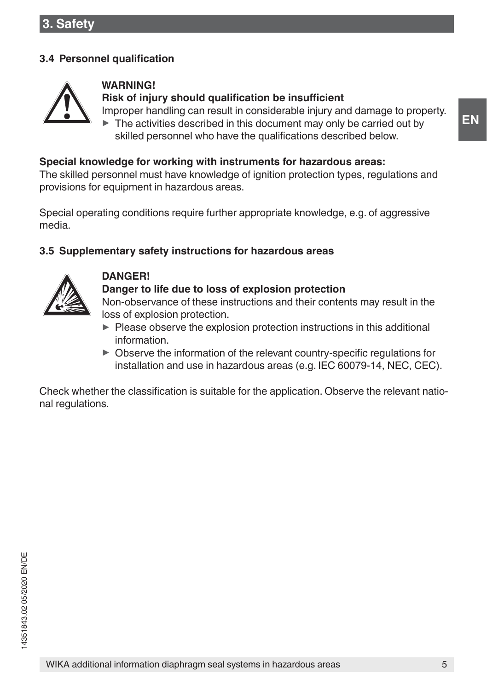# **3.4 Personnel qualification**



#### **WARNING!**

**Risk of injury should qualification be insufficient**

Improper handling can result in considerable injury and damage to property.  $\blacktriangleright$  The activities described in this document may only be carried out by skilled personnel who have the qualifications described below.

#### **Special knowledge for working with instruments for hazardous areas:**

The skilled personnel must have knowledge of ignition protection types, regulations and provisions for equipment in hazardous areas.

Special operating conditions require further appropriate knowledge, e.g. of aggressive media.

### **3.5 Supplementary safety instructions for hazardous areas**



# **DANGER!**

**Danger to life due to loss of explosion protection**

Non-observance of these instructions and their contents may result in the loss of explosion protection.

- $\blacktriangleright$  Please observe the explosion protection instructions in this additional information.
- ▶ Observe the information of the relevant country-specific regulations for installation and use in hazardous areas (e.g. IEC 60079-14, NEC, CEC).

Check whether the classification is suitable for the application. Observe the relevant national regulations.

**EN**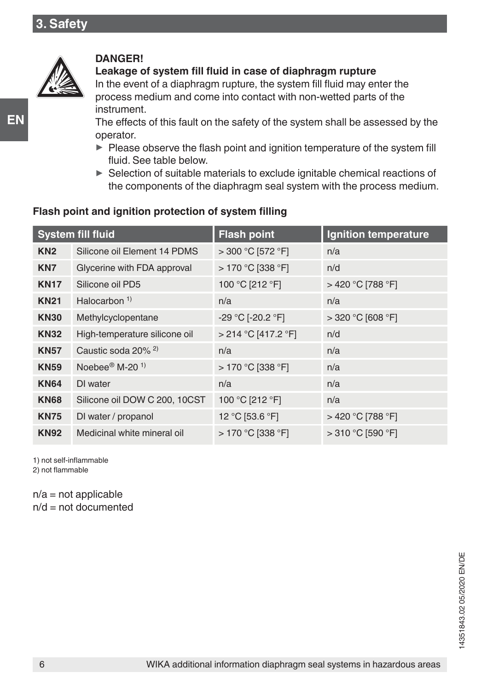

**EN**

#### **DANGER!**

**Leakage of system fill fluid in case of diaphragm rupture**

In the event of a diaphragm rupture, the system fill fluid may enter the process medium and come into contact with non-wetted parts of the instrument.

The effects of this fault on the safety of the system shall be assessed by the operator.

- ▶ Please observe the flash point and ignition temperature of the system fill fluid. See table below.
- ▶ Selection of suitable materials to exclude ignitable chemical reactions of the components of the diaphragm seal system with the process medium.

### **Flash point and ignition protection of system filling**

| <b>System fill fluid</b> |                                        | <b>Flash point</b>  | Ignition temperature |
|--------------------------|----------------------------------------|---------------------|----------------------|
| KN <sub>2</sub>          | Silicone oil Element 14 PDMS           | $>$ 300 °C [572 °F] | n/a                  |
| KN7                      | Glycerine with FDA approval            | $>170 °C$ [338 °F]  | n/d                  |
| <b>KN17</b>              | Silicone oil PD5                       | 100 °C [212 °F]     | > 420 °C [788 °F]    |
| <b>KN21</b>              | Halocarbon $1$ )                       | n/a                 | n/a                  |
| <b>KN30</b>              | Methylcyclopentane                     | -29 °C [-20.2 °F]   | $>$ 320 °C [608 °F]  |
| <b>KN32</b>              | High-temperature silicone oil          | > 214 °C [417.2 °F] | n/d                  |
| <b>KN57</b>              | Caustic soda 20% <sup>2)</sup>         | n/a                 | n/a                  |
| <b>KN59</b>              | Noebee <sup>®</sup> M-20 <sup>1)</sup> | $>170 °C$ [338 °F]  | n/a                  |
| <b>KN64</b>              | DI water                               | n/a                 | n/a                  |
| <b>KN68</b>              | Silicone oil DOW C 200, 10CST          | 100 °C [212 °F]     | n/a                  |
| <b>KN75</b>              | DI water / propanol                    | 12 °C [53.6 °F]     | > 420 °C [788 °F]    |
| <b>KN92</b>              | Medicinal white mineral oil            | > 170 °C [338 °F]   | > 310 °C [590 °F]    |

1) not self-inflammable

2) not flammable

 $n/a$  = not applicable  $n/d$  = not documented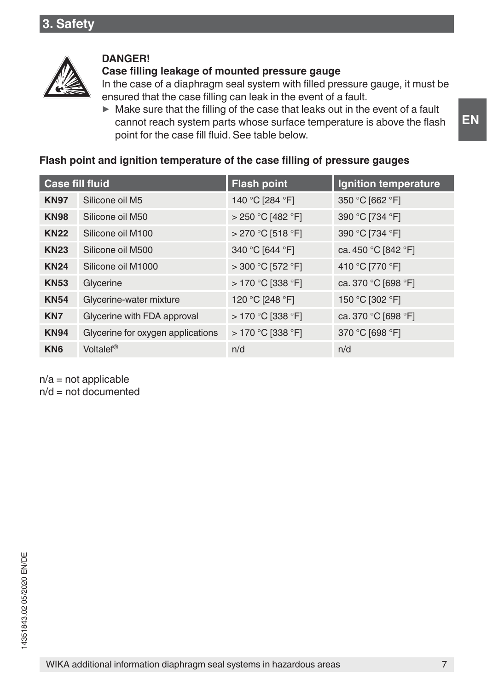

#### **DANGER!**

**Case filling leakage of mounted pressure gauge**

In the case of a diaphragm seal system with filled pressure gauge, it must be ensured that the case filling can leak in the event of a fault.

 $\blacktriangleright$  Make sure that the filling of the case that leaks out in the event of a fault cannot reach system parts whose surface temperature is above the flash point for the case fill fluid. See table below.

#### **Flash point and ignition temperature of the case filling of pressure gauges**

| Case fill fluid |                                   | <b>Flash point</b> | Ignition temperature |
|-----------------|-----------------------------------|--------------------|----------------------|
| <b>KN97</b>     | Silicone oil M5                   | 140 °C [284 °F]    | 350 °C [662 °F]      |
| <b>KN98</b>     | Silicone oil M50                  | > 250 °C [482 °F]  | 390 °C [734 °F]      |
| <b>KN22</b>     | Silicone oil M100                 | > 270 °C [518 °F]  | 390 °C [734 °F]      |
| <b>KN23</b>     | Silicone oil M500                 | 340 °C [644 °F]    | ca. 450 °C [842 °F]  |
| <b>KN24</b>     | Silicone oil M1000                | > 300 °C [572 °F]  | 410 °C [770 °F]      |
| <b>KN53</b>     | Glycerine                         | $>170$ °C [338 °F] | ca. 370 °C [698 °F]  |
| <b>KN54</b>     | Glycerine-water mixture           | 120 °C [248 °F]    | 150 °C [302 °F]      |
| KN <sub>7</sub> | Glycerine with FDA approval       | $>170$ °C [338 °F] | ca. 370 °C [698 °F]  |
| <b>KN94</b>     | Glycerine for oxygen applications | > 170 °C [338 °F]  | 370 °C [698 °F]      |
| KN <sub>6</sub> | Voltalef®                         | n/d                | n/d                  |

 $n/a$  = not applicable

n/d = not documented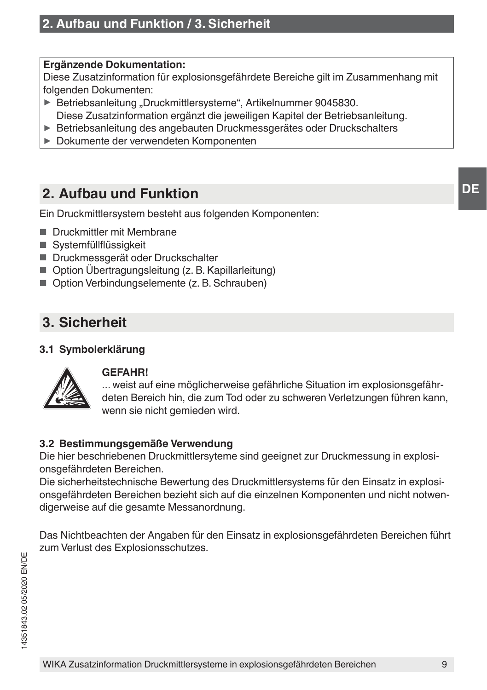## **Ergänzende Dokumentation:**

Diese Zusatzinformation für explosionsgefährdete Bereiche gilt im Zusammenhang mit folgenden Dokumenten:

- ▶ Betriebsanleitung "Druckmittlersysteme", Artikelnummer 9045830.
- Diese Zusatzinformation ergänzt die jeweiligen Kapitel der Betriebsanleitung.
- ▶ Betriebsanleitung des angebauten Druckmessgerätes oder Druckschalters
- ▶ Dokumente der verwendeten Komponenten

# **2. Aufbau und Funktion**

Ein Druckmittlersystem besteht aus folgenden Komponenten:

- Druckmittler mit Membrane
- Systemfüllflüssigkeit
- Druckmessgerät oder Druckschalter
- Option Übertragungsleitung (z. B. Kapillarleitung)
- Option Verbindungselemente (z. B. Schrauben)

# **3. Sicherheit**

# **3.1 Symbolerklärung**



### **GEFAHR!**

... weist auf eine möglicherweise gefährliche Situation im explosionsgefährdeten Bereich hin, die zum Tod oder zu schweren Verletzungen führen kann, wenn sie nicht gemieden wird.

### **3.2 Bestimmungsgemäße Verwendung**

Die hier beschriebenen Druckmittlersyteme sind geeignet zur Druckmessung in explosionsgefährdeten Bereichen.

Die sicherheitstechnische Bewertung des Druckmittlersystems für den Einsatz in explosionsgefährdeten Bereichen bezieht sich auf die einzelnen Komponenten und nicht notwendigerweise auf die gesamte Messanordnung.

Das Nichtbeachten der Angaben für den Einsatz in explosionsgefährdeten Bereichen führt zum Verlust des Explosionsschutzes.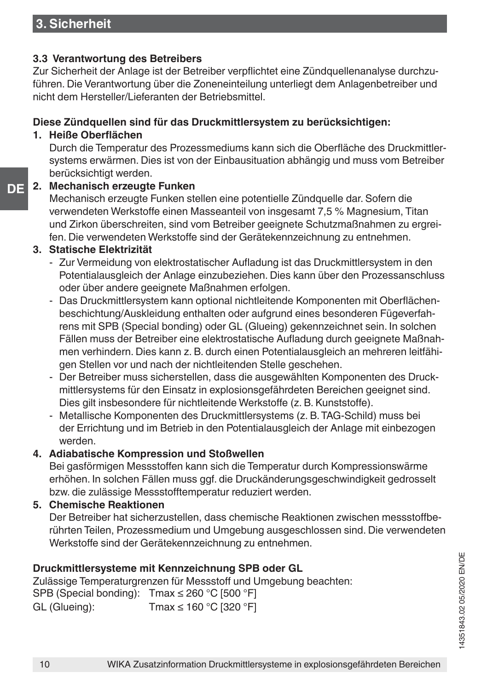# **3.3 Verantwortung des Betreibers**

Zur Sicherheit der Anlage ist der Betreiber verpflichtet eine Zündquellenanalyse durchzuführen. Die Verantwortung über die Zoneneinteilung unterliegt dem Anlagenbetreiber und nicht dem Hersteller/Lieferanten der Betriebsmittel.

# **Diese Zündquellen sind für das Druckmittlersystem zu berücksichtigen:**

# **1. Heiße Oberflächen**

Durch die Temperatur des Prozessmediums kann sich die Oberfläche des Druckmittlersystems erwärmen. Dies ist von der Einbausituation abhängig und muss vom Betreiber berücksichtigt werden.

#### **DE 2. Mechanisch erzeugte Funken**

Mechanisch erzeugte Funken stellen eine potentielle Zündquelle dar. Sofern die verwendeten Werkstoffe einen Masseanteil von insgesamt 7,5 % Magnesium, Titan und Zirkon überschreiten, sind vom Betreiber geeignete Schutzmaßnahmen zu ergreifen. Die verwendeten Werkstoffe sind der Gerätekennzeichnung zu entnehmen.

# **3. Statische Elektrizität**

- Zur Vermeidung von elektrostatischer Aufladung ist das Druckmittlersystem in den Potentialausgleich der Anlage einzubeziehen. Dies kann über den Prozessanschluss oder über andere geeignete Maßnahmen erfolgen.
- Das Druckmittlersystem kann optional nichtleitende Komponenten mit Oberflächenbeschichtung/Auskleidung enthalten oder aufgrund eines besonderen Fügeverfahrens mit SPB (Special bonding) oder GL (Glueing) gekennzeichnet sein. In solchen Fällen muss der Betreiber eine elektrostatische Aufladung durch geeignete Maßnahmen verhindern. Dies kann z. B. durch einen Potentialausgleich an mehreren leitfähigen Stellen vor und nach der nichtleitenden Stelle geschehen.
- Der Betreiber muss sicherstellen, dass die ausgewählten Komponenten des Druckmittlersystems für den Einsatz in explosionsgefährdeten Bereichen geeignet sind. Dies gilt insbesondere für nichtleitende Werkstoffe (z. B. Kunststoffe).
- Metallische Komponenten des Druckmittlersystems (z. B. TAG-Schild) muss bei der Errichtung und im Betrieb in den Potentialausgleich der Anlage mit einbezogen werden.

# **4. Adiabatische Kompression und Stoßwellen**

Bei gasförmigen Messstoffen kann sich die Temperatur durch Kompressionswärme erhöhen. In solchen Fällen muss ggf. die Druckänderungsgeschwindigkeit gedrosselt bzw. die zulässige Messstofftemperatur reduziert werden.

### **5. Chemische Reaktionen**

Der Betreiber hat sicherzustellen, dass chemische Reaktionen zwischen messstoffberührten Teilen, Prozessmedium und Umgebung ausgeschlossen sind. Die verwendeten Werkstoffe sind der Gerätekennzeichnung zu entnehmen.

# **Druckmittlersysteme mit Kennzeichnung SPB oder GL**

Zulässige Temperaturgrenzen für Messstoff und Umgebung beachten: SPB (Special bonding): Tmax ≤ 260 °C [500 °F] GL (Glueing): Tmax  $\leq 160$  °C [320 °F]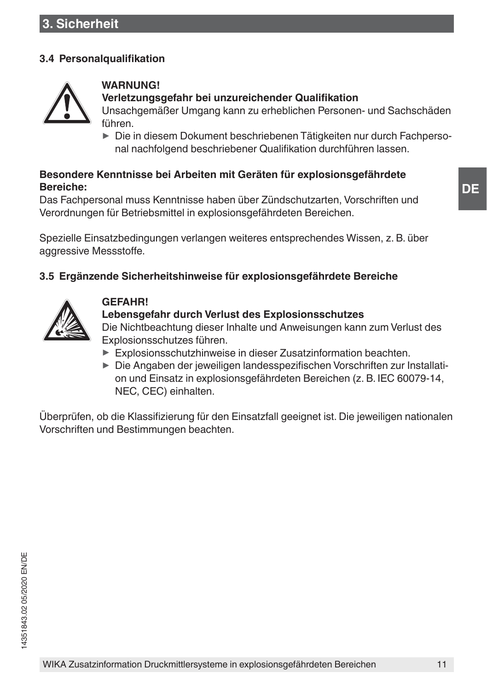# **3.4 Personalqualifikation**



#### **WARNUNG! Verletzungsgefahr bei unzureichender Qualifikation**

Unsachgemäßer Umgang kann zu erheblichen Personen- und Sachschäden führen.

▶ Die in diesem Dokument beschriebenen Tätigkeiten nur durch Fachpersonal nachfolgend beschriebener Qualifikation durchführen lassen.

# **Besondere Kenntnisse bei Arbeiten mit Geräten für explosionsgefährdete Bereiche:**

Das Fachpersonal muss Kenntnisse haben über Zündschutzarten, Vorschriften und Verordnungen für Betriebsmittel in explosionsgefährdeten Bereichen.

Spezielle Einsatzbedingungen verlangen weiteres entsprechendes Wissen, z. B. über aggressive Messstoffe.

# **3.5 Ergänzende Sicherheitshinweise für explosionsgefährdete Bereiche**



#### **GEFAHR!**

### **Lebensgefahr durch Verlust des Explosionsschutzes**

Die Nichtbeachtung dieser Inhalte und Anweisungen kann zum Verlust des Explosionsschutzes führen.

- ▶ Explosionsschutzhinweise in dieser Zusatzinformation beachten.
- ▶ Die Angaben der jeweiligen landesspezifischen Vorschriften zur Installation und Einsatz in explosionsgefährdeten Bereichen (z. B. IEC 60079-14, NEC, CEC) einhalten.

Überprüfen, ob die Klassifizierung für den Einsatzfall geeignet ist. Die jeweiligen nationalen Vorschriften und Bestimmungen beachten.

**DE**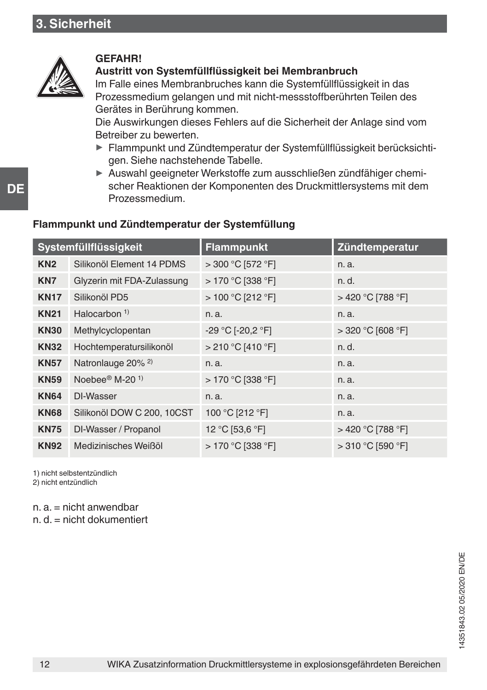

**DE**

#### **GEFAHR!**

#### **Austritt von Systemfüllflüssigkeit bei Membranbruch**

Im Falle eines Membranbruches kann die Systemfüllflüssigkeit in das Prozessmedium gelangen und mit nicht-messstoffberührten Teilen des Gerätes in Berührung kommen.

Die Auswirkungen dieses Fehlers auf die Sicherheit der Anlage sind vom Betreiber zu bewerten.

- ▶ Flammpunkt und Zündtemperatur der Systemfüllflüssigkeit berücksichtigen. Siehe nachstehende Tabelle.
- ▶ Auswahl geeigneter Werkstoffe zum ausschließen zündfähiger chemischer Reaktionen der Komponenten des Druckmittlersystems mit dem Prozessmedium.

#### **Flammpunkt und Zündtemperatur der Systemfüllung**

| Systemfüllflüssigkeit |                                        | <b>Flammpunkt</b>      | Zündtemperatur      |
|-----------------------|----------------------------------------|------------------------|---------------------|
| KN <sub>2</sub>       | Silikonöl Element 14 PDMS              | > 300 °C [572 °F]      | n. a.               |
| KN <sub>7</sub>       | Glyzerin mit FDA-Zulassung             | > 170 °C [338 °F]      | n. d.               |
| <b>KN17</b>           | Silikonöl PD5                          | > 100 °C [212 °F]      | > 420 °C [788 °F]   |
| <b>KN21</b>           | Halocarbon $1$ )                       | n. a.                  | n. a.               |
| <b>KN30</b>           | Methylcyclopentan                      | $-29 °C$ [-20,2 $°F$ ] | $>$ 320 °C [608 °F] |
| <b>KN32</b>           | Hochtemperatursilikonöl                | > 210 °C [410 °F]      | n. d.               |
| <b>KN57</b>           | Natronlauge 20% <sup>2)</sup>          | n. a.                  | n. a.               |
| <b>KN59</b>           | Noebee <sup>®</sup> M-20 <sup>1)</sup> | $>170$ °C [338 °F]     | n. a.               |
| <b>KN64</b>           | DI-Wasser                              | n. a.                  | n. a.               |
| <b>KN68</b>           | Silikonöl DOW C 200, 10CST             | 100 °C [212 °F]        | n. a.               |
| <b>KN75</b>           | DI-Wasser / Propanol                   | 12 °C [53,6 °F]        | > 420 °C [788 °F]   |
| <b>KN92</b>           | Medizinisches Weißöl                   | > 170 °C [338 °F]      | > 310 °C [590 °F]   |

1) nicht selbstentzündlich

2) nicht entzündlich

n. a. = nicht anwendbar n. d. = nicht dokumentiert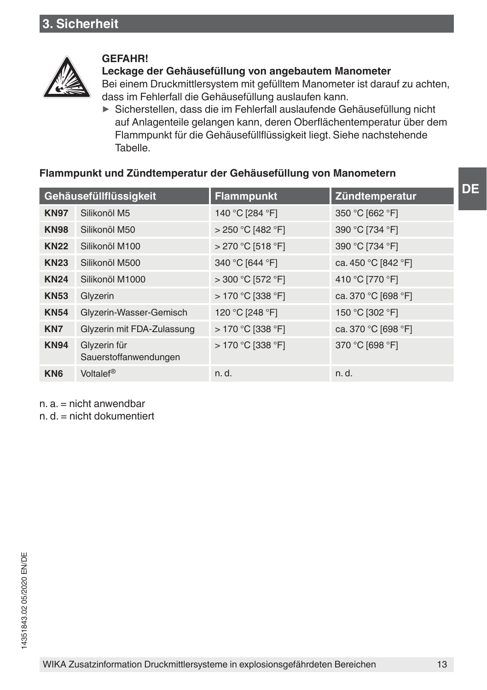

#### **GEFAHR!**

## **Leckage der Gehäusefüllung von angebautem Manometer**

Bei einem Druckmittlersystem mit gefülltem Manometer ist darauf zu achten, dass im Fehlerfall die Gehäusefüllung auslaufen kann.

▶ Sicherstellen, dass die im Fehlerfall auslaufende Gehäusefüllung nicht auf Anlagenteile gelangen kann, deren Oberflächentemperatur über dem Flammpunkt für die Gehäusefüllflüssigkeit liegt. Siehe nachstehende Tabelle.

### **Flammpunkt und Zündtemperatur der Gehäusefüllung von Manometern**

|                 | Gehäusefüllflüssigkeit                | <b>Flammpunkt</b> | Zündtemperatur      | DE |
|-----------------|---------------------------------------|-------------------|---------------------|----|
| <b>KN97</b>     | Silikonöl M5                          | 140 °C [284 °F]   | 350 °C [662 °F]     |    |
| <b>KN98</b>     | Silikonöl M50                         | > 250 °C [482 °F] | 390 °C [734 °F]     |    |
| <b>KN22</b>     | Silikonöl M100                        | > 270 °C [518 °F] | 390 °C [734 °F]     |    |
| <b>KN23</b>     | Silikonöl M500                        | 340 °C [644 °F]   | ca. 450 °C [842 °F] |    |
| <b>KN24</b>     | Silikonöl M1000                       | > 300 °C [572 °F] | 410 °C [770 °F]     |    |
| <b>KN53</b>     | Glyzerin                              | > 170 °C [338 °F] | ca. 370 °C [698 °F] |    |
| <b>KN54</b>     | Glyzerin-Wasser-Gemisch               | 120 °C [248 °F]   | 150 °C [302 °F]     |    |
| KN <sub>7</sub> | Glyzerin mit FDA-Zulassung            | > 170 °C [338 °F] | ca. 370 °C [698 °F] |    |
| <b>KN94</b>     | Glyzerin für<br>Sauerstoffanwendungen | > 170 °C [338 °F] | 370 °C [698 °F]     |    |
| KN <sub>6</sub> | Voltalef <sup>®</sup>                 | n. d.             | n. d.               |    |

n. a. = nicht anwendbar

n. d. = nicht dokumentiert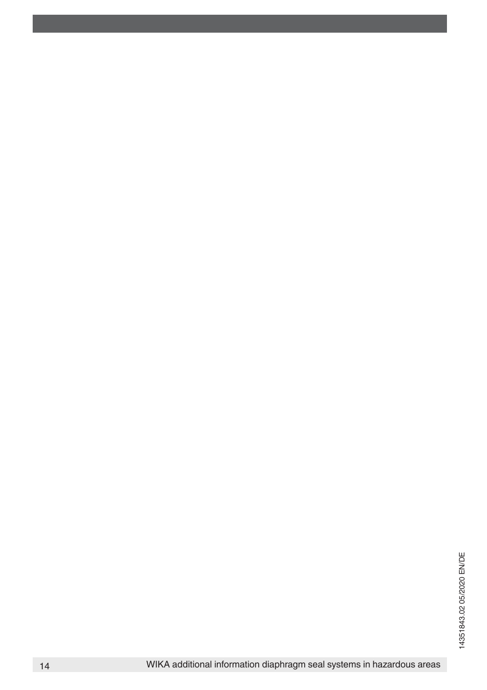